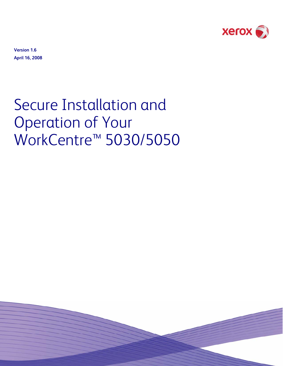

**Version 1.6 April 16, 2008** 

# Secure Installation and Operation of Your WorkCentre™ 5030/5050

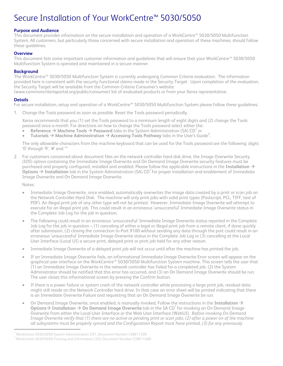# Secure Installation of Your WorkCentre™ 5030/5050

# **Purpose and Audience**

This document provides information on the secure installation and operation of a WorkCentre™ 5030/5050 Multifunction System. All customers, but particularly those concerned with secure installation and operation of these machines, should follow these guidelines.

#### **Overview**

This document lists some important customer information and guidelines that will ensure that your WorkCentre™ 5030/5050 Multifunction System is operated and maintained in a secure manner.

## **Background**

The WorkCentre™ 5030/5050 Multifunction System is currently undergoing Common Criteria evaluation. The information provided here is consistent with the security functional claims made in the Security Target. Upon completion of the evaluation, the Security Target will be available from the Common Criteria Consumer's website (www.commoncriteriaportal.org/public/consumer) list of evaluated products or from your Xerox representative.

#### **Details**

For secure installation, setup and operation of a WorkCentre™ 5030/5050 Multifunction System please follow these guidelines:

1. Change the Tools password as soon as possible. Reset the Tools password periodically.

Xerox recommends that you (1) set the Tools password to a minimum length of eight digits and (2) change the Tools password once a month. For directions on how to change the Tools password select either the:

- **Reference**  $\rightarrow$  **Machine Tools**  $\rightarrow$  **Password** tabs in the System Administration (SA) CD<sup>1</sup> or
- **•** Tutorials  $\rightarrow$  Machine Administration  $\rightarrow$  Accessing Tools Pathway tabs in the User's Guide<sup>2</sup>.

The only allowable characters from the machine keyboard that can be used for the Tools password are the following: digits '0' through '9', '#' and '\*'

2. For customers concerned about document files on the network controller hard disk drive, the Image Overwrite Security (IOS) option containing the Immediate Image Overwrite and On Demand Image Overwrite security features must be purchased and properly configured, installed and enabled. Please follow the applicable instructions in the Installation  $\rightarrow$ **Options**  $\rightarrow$  **Installation** tab in the System Administration (SA) CD<sup>1</sup> for proper installation and enablement of Immediate Image Overwrite and On Demand Image Overwrite.

Notes:

<u>—</u>

- Immediate Image Overwrite, once enabled, automatically overwrites the image data created by a print or scan job on the Network Controller Hard Disk. The machine will only print jobs with valid print types (Postscript, PCL, TIFF, text of PDF). An illegal print job of any other type will not be printed. However, Immediate Image Overwrite will attempt to execute for an illegal print job. This could result in an erroneous 'unsuccessful' Immediate Image Overwrite status in the Complete Job Log for the job in question.
- The following could result in an erroneous 'unsuccessful' Immediate Image Overwrite status reported in the Complete Job Log for the job in question – (1) canceling of either a legal or illegal print job from a remote client, if done quickly after submission, (2) closing the connection to Port 9100 without sending any data through the port could result in an erroneous 'unsuccessful' Immediate Image Overwrite status in the Complete Job Log or (3) cancelling at the Local User Interface (Local UI) a secure print, delayed print or print job held for any other reason.
- Immediate Image Overwrite of a delayed print job will not occur until after the machine has printed the job.
- If an Immediate Image Overwrite fails, an informational Immediate Image Overwrite Error screen will appear on the graphical user interface on the WorkCentre™ 5030/5050 Multifunction System machine. This screen tells the user that (1) an Immediate Image Overwrite in the network controller has failed for a completed job, (2) the System Administrator should be notified that this error has occurred, and (3) an On Demand Image Overwrite should be run. The user closes this informational screen by pressing the Confirm button.
- If there is a power failure or system crash of the network controller while processing a large print job, residual data might still reside on the Network Controller hard drive. In that case an error sheet will be printed indicating that there is an Immediate Overwrite Failure and requesting that an On Demand Image Overwrite be run.
- On Demand Image Overwrite, once enabled, is manually invoked. Follow the instructions in the Installation  $\rightarrow$ **Options**  $\rightarrow$  **Installation**  $\rightarrow$  **On Demand Image Overwrite** tab in the SA CD<sup>1</sup> for invoking an On Demand Image Overwrite from either the Local User Interface or the Web User Interface (WebUI). *Before invoking On Demand Image Overwrite verify that (1) there are no active or pending print or scan jobs, (2) after a power on of the machine all subsystems must be properly synced and the Configuration Report must have printed, (3) for any previously*

<sup>&</sup>lt;sup>1</sup> WorkCentre 5030/5050 System Administration CD1, Document Number 538E11390<br><sup>2</sup> WorkCentre 5030/5050 Training and Information CD3, Document Number 539511/4

 $^2$  WorkCentre 5030/5050 Training and Information CD2, Document Number 538E11400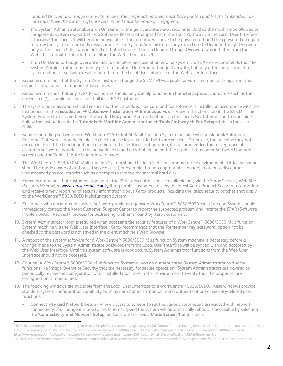*initiated On Demand Image Overwrite request the confirmation sheet must have printed and (4) the Embedded Fax card must have the correct software version and must be properly configured.*

- If a System Administrator aborts an On Demand Image Overwrite, Xerox recommends that the machine be allowed to complete its system reboot before a Software Reset is attempted from the Tools Pathway via the Local User Interface. Otherwise, the Local UI will become unavailable. The machine will have to be powered off and then powered on again to allow the system to properly resynchronize. The System Administrator may cancel an On Demand Image Overwrite only at the Local UI if it was initiated at that interface. If an On Demand Image Overwrite was initiated from the WebUI, it cannot be aborted from either the WebUI or Local UI.
- If an On Demand Image Overwrite fails to complete because of an error or system crash, Xerox recommends that the System Administrator immediately perform another On Demand Image Overwrite, but only after completion of a system reboot or software reset initiated from the Local User Interface or the Web User Interface.
- 3. Xerox recommends that the System Administrator change the SNMP v1/v2c public/private community strings from their default string names to random string names.
- 4. Xerox recommends that any TCP/IP hostnames should only use alphanumeric characters; special characters such as the underscore ('') should not be used at all in TCP/IP hostnames.
- 5. The system administration should ensure that the Embedded Fax Card and fax software is installed in accordance with the instructions in the **Installation**  $\to$  **Options** $\to$  **Installation**  $\to$  **<b>Embedded Fax** -> View Instructions tab in the SA CD<sup>1</sup>. The System Administrator can then set Embedded Fax parameters and options via the Local User Interface on the machine. Follow the instructions in the **Tutorials**  $\rightarrow$  **Machine Administration**  $\rightarrow$  **Tools Pathway**  $\rightarrow$  **Fax Setups** tabs in the User Guide $2$ .
- 6. Before upgrading software on a WorkCentre™ 5030/5050 Multifunction System machine via the Manual/Automatic Customer Software Upgrade or, please check for the latest certified software versions. Otherwise, the machine may not remain in its certified configuration. To maintain the certified configuration, it is recommended that acceptance of customer software upgrades via the network be turned off/disabled on both the Local UI (Customer Software Upgrade screen) and the Web UI (Auto Upgrade web page).
- 7. The WorkCentre™ 5030/5050 Multifunction System should be installed in a standard office environment. Office personnel should be made aware of authorized service calls (for example through appropriate signage) in order to discourage unauthorized physical attacks such as attempts to remove the internal hard disk.
- 8. Xerox recommends that customers sign up for the RSS<sup>3</sup> subscription service available only via the Xerox Security Web Site (Security@Xerox) at [www.xerox.com/security](http://www.xerox.com/security) that permits customers to view the latest Xerox Product Security Information and receive timely reporting of security information about Xerox products, including the latest security patches that apply to the WorkCentre™ 5030/5050 Multifunction System.
- 9. Customers who encounter or suspect software problems against a WorkCentre™ 5030/5050 Multifunction System should immediately contact the Xerox Customer Support Center to report the suspected problem and initiate the SPAR (Software Problem Action Request)<sup>4</sup> process for addressing problems found by Xerox customers.
- 10. System Administrator login is required when accessing the security features of a WorkCentre™ 5030/5050 Multifunction System machine via the Web User Interface. Xerox recommends that the '**Remember my password**' option not be checked so the password is not saved in the client machine's Web Browser.
- 11. A reboot of the system software for a WorkCentre™ 5030/5050 Multifunction System machine is necessary before a change made to the System Administrator password from the Local User Interface will be synced with and accepted by the Web User Interface. Until this system software reboot occurs, System Administrator functions from the Web User Interface should not be accessed.
- 12. Caution: A WorkCentre™ 5030/5050 Multifunction System allows an authenticated System Administrator to disable functions like Image Overwrite Security that are necessary for secure operation. System Administrators are advised to periodically review the configuration of all installed machines in their environment to verify that the proper secure configuration is maintained.
- 13. The following windows are available from the Local User Interface to a WorkCentre™ 5030/5050. These windows provide standard system configuration capability (with System Administrator login and authentication) or security-related user functions:
	- **Connectivity and Network Setup** Allows access to screens to set the various parameters associated with network connectivity; if a change is made to the Ethernet speed the system will automatically reboot. Is accessible by selecting the **'Connectivity and Network Setup**' button from the **Tools Mode Screen 1 of 3** screen.

<sup>&</sup>lt;u>.</u><br><sup>3</sup> RDF Site Summary, or Rich Site Summary, or Really Simple Syndication – A lightweight XML format for distributing news headlines and other content on the Web. Details for signing up for this RSS Service are provided in the **Security@Xerox RSS Subscription Service guide posted on the Security@Xerox site at http://www.xerox.com/go/xrx/template/009.jsp?view=Feature&ed\_name=RSS\_Security\_at\_Xerox&Xcntry=USA&Xlang=en\_US.** 4

A SPAR is the software problem report form used internally within Xerox to document customer-reported software problems found in products in the field.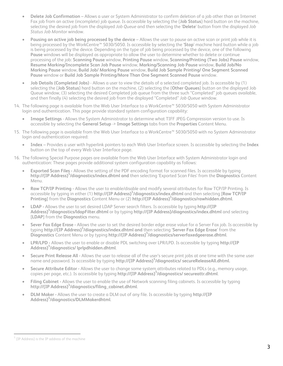- **Delete Job Confirmation**  Allows a user or System Administrator to confirm deletion of a job other than an Internet Fax job from an active (incomplete) job queue. Is accessible by selecting the {**Job Status**} hard button on the machine, selecting the desired job from the displayed *Job Queue* and then selecting the '**Delete**' button from the displayed *Job Status Job Monitor* window.
- **Pausing an active job being processed by the device**  Allows the user to pause an active scan or print job while it is being processed by the WorkCentre™ 5030/5050. Is accessible by selecting the '**Stop**' machine hard button while a job is being processed by the device. Depending on the type of job being processed by the device, one of the following **Pause** windows will be displayed as appropriate to allow the user to determine whether to delete or continue processing of the job: **Scanning Pause** window, **Printing Pause** window, **Scanning/Printing (Two Jobs) Pause** window, **Resume Marking/Incomplete Scan Job Pause** window, **Marking/Scanning Job Pause** window, **Build Job/No Marking Pause** window, **Build Job/ Marking Pause** window, **Build Job Sample Printing/ One Segment Scanned Pause** window or **Build Job Sample Printing/More Than One Segment Scanned Pause** window.
- **Job Details (Completed Jobs)**  Allows a user to view the details of a selected completed job. Is accessible by (1) selecting the {**Job Status**} hard button on the machine, (2) selecting the {**Other Queues**} button on the displayed Job Queue window, (3) selecting the desired Completed job queue from the three such "Completed" job queues available, and then finally (4) selecting the desired job from the displayed "Completed" *Job Queue* window.
- 14. The following page is available from the Web User Interface to a WorkCentre™ 5030/5050 with System Administrator login and authentication. This page provide standard system configuration capability:
	- **Image Settings** Allows the System Administrator to determine what TIFF JPEG Compression version to use. Is accessible by selecting the **General Setup** -> **Image Settings** tabs from the **Properties** Content Menu.
- 15. The following page is available from the Web User Interface to a WorkCentre™ 5030/5050 with no System Administrator login and authentication required:
	- **Index**  Provides a user with hyperlink pointers to each Web User Interface screen. Is accessible by selecting the **Index** button on the top of every Web User Interface page.
- 16. The following Special Purpose pages are available from the Web User Interface with System Administrator login and authentication: These pages provide additional system configuration capability as follows:
	- **Exported Scan Files** Allows the setting of the PDF encoding format for scanned files. Is accessible by typing **http://{IP Address}5 /diagnostics/index.dhtml and** then selecting 'Exported Scan Files' from the **Diagnostics** Content Menu.
	- **Raw TCP/IP Printing** Allows the user to enable/disable and modify several attributes for Raw TCP/IP Printing. Is accessible by typing in either (1) **http://{IP Address}5 /diagnostics/index.dhtml** and then selecting [**Raw TCP/IP**  Printing] from the Diagnostics Content Menu or (2) http://{IP Address}<sup>5</sup>/diagnostics/rawhidden.dhtml.
	- **LDAP** Allows the user to set desired LDAP Server search filters. Is accessible by typing **http://{IP Address}5 /diagnostics/ldapFilter.dhtml** or by typing **http://{IP Address}/diagnostics/index.dhtml** and selecting [**LDAP**] from the **Diagnostics** menu.
	- **Sever Fax Edge Erase** Allows the user to set the desired border edge erase value for a Server Fax job. Is accessible by typing **http://{IP Address}5 /diagnostics/index.dhtml and** then selecting '**Server Fax Edge Erase**' from the **Diagnostics** Content Menu or by typing **http://{IP Address}<sup>5</sup> /diagnostics/serverfaxedgeerase.dhtml**.
	- **LPR/LPD** Allows the user to enable or disable PDL switching over LPR/LPD. Is accessible by typing **http://{IP Address}5 /diagnostics/ lprlpdhidden.dhtml**.
	- **Secure Print Release All** Allows the user to release all of the user's secure print jobs at one time with the same user name and password. Is accessible by typing **http://{IP Address}<sup>5</sup> /diagnostics/ secureReleaseAll.dhtml.**
	- **Secure Attribute Editor** Allows the user to change some system attributes related to PDLs (e.g., memory usage, copies per page, etc.). Is accessible by typing **http://{IP Address}<sup>5</sup> /diagnostics/ secureattr.dhtml**.
	- **Filing Cabinet** Allows the user to enable the use of Network scanning filing cabinets. Is accessible by typing **http://{IP Address}<sup>5</sup> /diagnostics/filing\_cabinet.dhtml**.
	- **DLM Maker** Allows the user to create a DLM out of any file. Is accessible by typing **http://{IP Address}5 /diagnostics/DLMMakerdhtml**.

È, <sup>5</sup> {IP Address} is the IP address of the machine